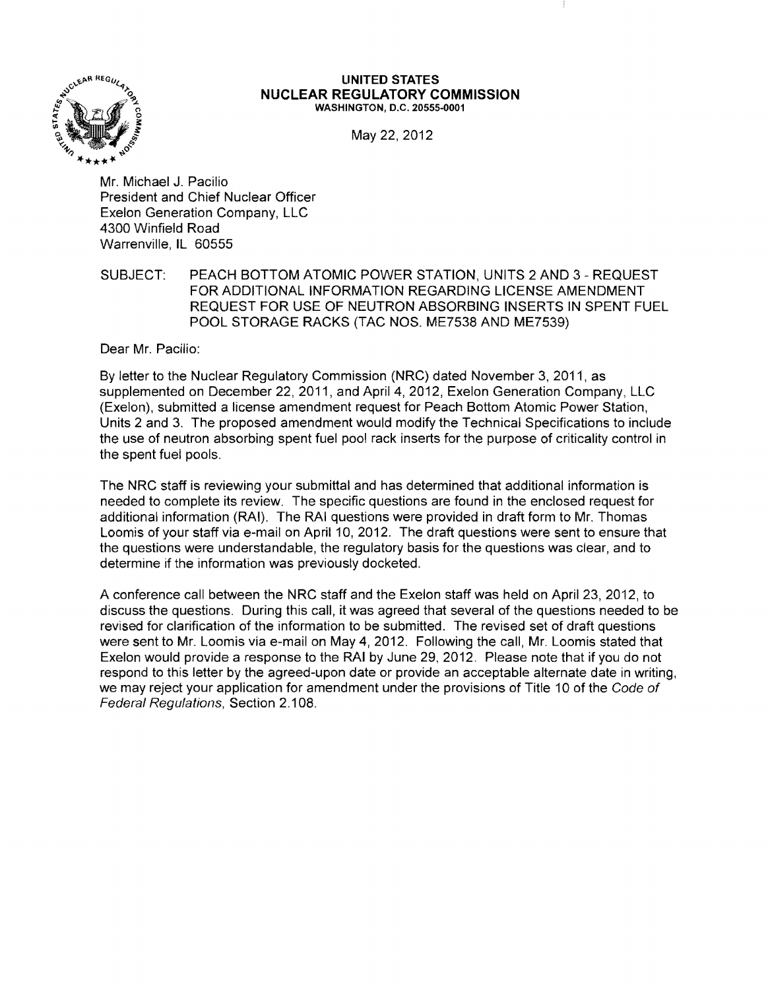

#### **UNITED STATES NUCLEAR REGULATORY COMMISSION** WASHINGTON, D.C. 20555-0001

May 22, 2012

Mr. Michael J. Pacilio President and Chief Nuclear Officer Exelon Generation Company, LLC 4300 Winfield Road Warrenville, IL 60555

SUBJECT: PEACH BOTTOM ATOMIC POWER STATION, UNITS 2 AND 3 - REQUEST FOR ADDITIONAL INFORMATION REGARDING LICENSE AMENDMENT REQUEST FOR USE OF NEUTRON ABSORBING INSERTS IN SPENT FUEL POOL STORAGE RACKS (TAC NOS. ME7538 AND ME7539)

Dear Mr. Pacilio:

By letter to the Nuclear Regulatory Commission (NRC) dated November 3, 2011, as supplemented on December 22, 2011, and April 4, 2012, Exelon Generation Company, LLC (Exelon), submitted a license amendment request for Peach Bottom Atomic Power Station, Units 2 and 3. The proposed amendment would modify the Technical Specifications to include the use of neutron absorbing spent fuel pool rack inserts for the purpose of criticality control in the spent fuel pools.

The NRC staff is reviewing your submittal and has determined that additional information is needed to complete its review. The specific questions are found in the enclosed request for additional information (RAI). The RAI questions were provided in draft form to Mr. Thomas Loomis of your staff via e-mail on April 10, 2012. The draft questions were sent to ensure that the questions were understandable, the regulatory basis for the questions was clear, and to determine if the information was previously docketed.

A conference call between the NRC staff and the Exelon staff was held on April 23, 2012, to discuss the questions. During this call, it was agreed that several of the questions needed to be revised for clarification of the information to be submitted. The revised set of draft questions were sent to Mr. Loomis via e-mail on May 4, 2012. Following the call, Mr. Loomis stated that Exelon would provide a response to the RAI by June 29,2012. Please note that if you do not respond to this letter by the agreed-upon date or provide an acceptable alternate date in writing, we may reject your application for amendment under the provisions of Title 10 of the Code of Federal Regulations, Section 2.108.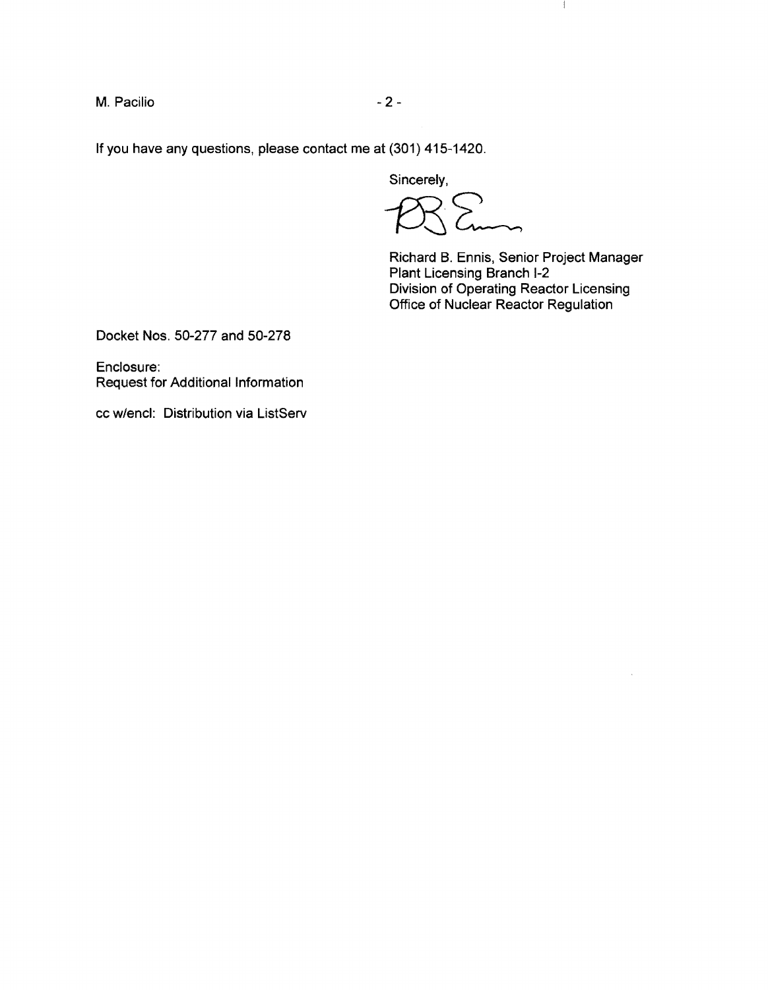M. Pacilio  $-2$  -

If you have any questions, please contact me at (301) 415-1420.

Sincerely,

 $P_{\text{max}}$ 

Richard B. Ennis, Senior Project Manager Plant Licensing Branch 1-2 Division of Operating Reactor Licensing Office of Nuclear Reactor Regulation

 $\mathbf{1}$ 

Docket Nos. 50-277 and 50-278

Enclosure: Request for Additional Information

cc w/encl: Distribution via ListServ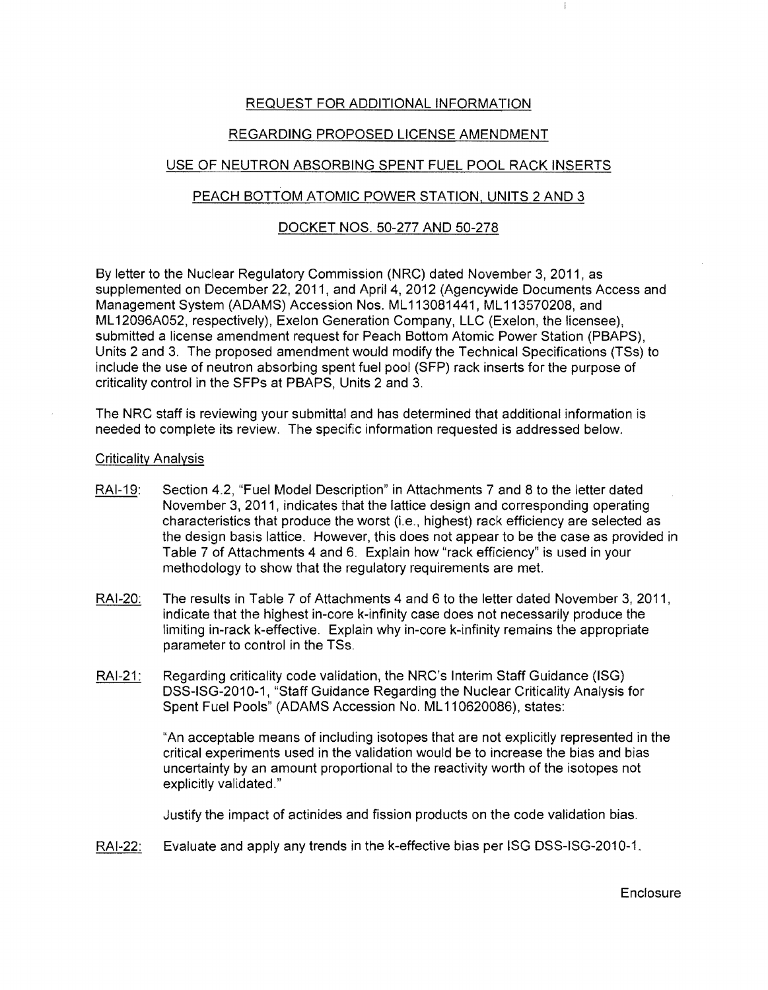# REQUEST FOR ADDITIONAL INFORMATION

# REGARDING PROPOSED LICENSE AMENDMENT

# USE OF NEUTRON ABSORBING SPENT FUEL POOL RACK INSERTS

# PEACH BOTTOM ATOMIC POWER STATION, UNITS 2 AND 3

### DOCKET NOS. 50-277 AND 50-278

By letter to the Nuclear Regulatory Commission (NRC) dated November 3, 2011, as supplemented on December 22, 2011, and April 4, 2012 (Agencywide Documents Access and Management System (ADAMS) Accession Nos. ML 113081441, ML 113570208, and ML 12096A052, respectively), Exelon Generation Company, LLC (Exelon, the licensee), submitted a license amendment request for Peach Bottom Atomic Power Station (PBAPS), Units 2 and 3. The proposed amendment would modify the Technical Specifications (TSs) to include the use of neutron absorbing spent fuel pool (SFP) rack inserts for the purpose of criticality control in the SFPs at PBAPS, Units 2 and 3.

The NRC staff is reviewing your submittal and has determined that additional information is needed to complete its review. The specific information requested is addressed below.

### Criticality Analysis

- RAI-19: Section 4.2, "Fuel Model Description" in Attachments 7 and 8 to the letter dated November 3, 2011, indicates that the lattice design and corresponding operating characteristics that produce the worst (i.e., highest) rack efficiency are selected as the design basis lattice. However, this does not appear to be the case as provided in Table 7 of Attachments 4 and 6. Explain how "rack efficiency" is used in your methodology to show that the regulatory requirements are met.
- RAI-20: The results in Table 7 of Attachments 4 and 6 to the letter dated November 3, 2011, indicate that the highest in-core k-infinity case does not necessarily produce the limiting in-rack k-effective. Explain why in-core k-infinity remains the appropriate parameter to control in the TSs.
- RAI-21: Regarding criticality code validation, the NRC's Interim Staff Guidance (ISG) DSS-ISG-2010-1, "Staff Guidance Regarding the Nuclear Criticality Analysis for Spent Fuel Pools" (ADAMS Accession No. ML 110620086), states:

"An acceptable means of including isotopes that are not explicitly represented in the critical experiments used in the validation would be to increase the bias and bias uncertainty by an amount proportional to the reactivity worth of the isotopes not explicitly validated."

Justify the impact of actinides and fission products on the code validation bias.

RAI-22: Evaluate and apply any trends in the k-effective bias per ISG DSS-ISG-2010-1.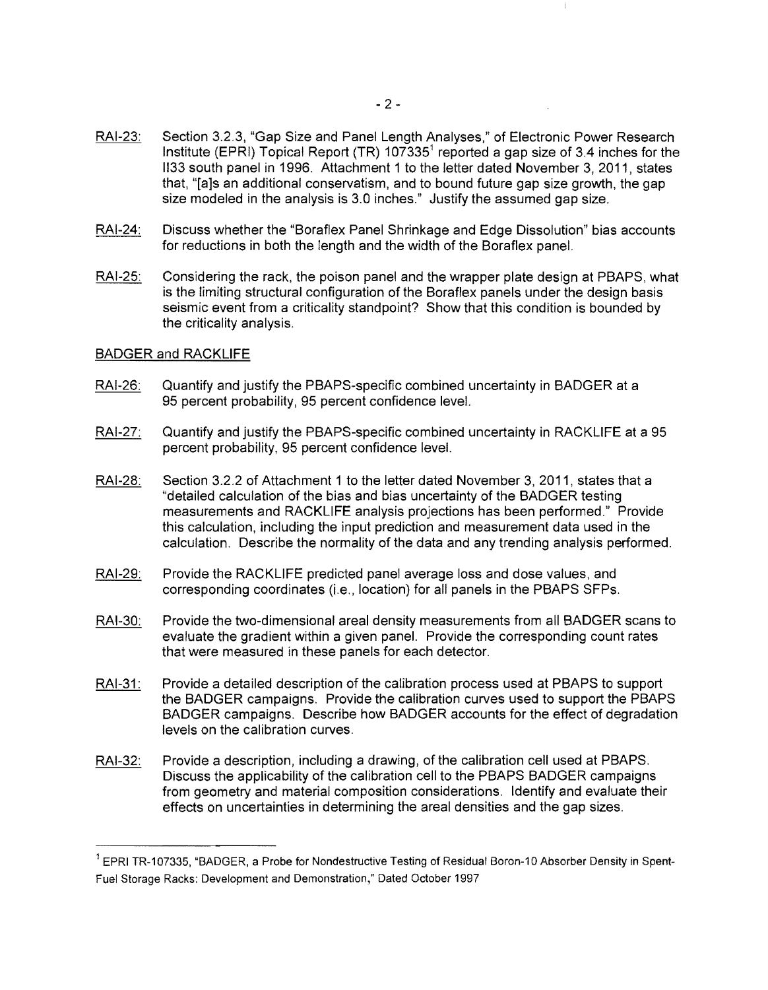- RAI-23: Section 3.2.3, "Gap Size and Panel Length Analyses," of Electronic Power Research Institute (EPRI) Topical Report (TR)  $107335<sup>1</sup>$  reported a gap size of 3.4 inches for the 1133 south panel in 1996. Attachment 1 to the letter dated November 3, 2011, states that, "[a]s an additional conservatism, and to bound future gap size growth, the gap size modeled in the analysis is 3.0 inches." Justify the assumed gap size.
- RAI-24: Discuss whether the "Boraflex Panel Shrinkage and Edge Dissolution" bias accounts for reductions in both the length and the width of the Boraflex panel.
- RAI-25: Considering the rack, the poison panel and the wrapper plate design at PBAPS, what is the limiting structural configuration of the Boraflex panels under the design basis seismic event from a criticality standpoint? Show that this condition is bounded by the criticality analysis.

### BADGER and RACKLIFE

- RAI-26: Quantify and justify the PBAPS-specific combined uncertainty in BADGER at a 95 percent probability, 95 percent confidence level.
- RAI-27: Quantify and justify the PBAPS-specific combined uncertainty in RACKLIFE at a 95 percent probability, 95 percent confidence level.
- RAI-28: Section 3.2.2 of Attachment 1 to the letter dated November 3, 2011, states that a "detailed calculation of the bias and bias uncertainty of the BADGER testing measurements and RACKLIFE analysis projections has been performed." Provide this calculation, including the input prediction and measurement data used in the calculation. Describe the normality of the data and any trending analysis performed.
- RAI-29: Provide the RACKLIFE predicted panel average loss and dose values, and corresponding coordinates (i.e., location) for all panels in the PBAPS SFPs.
- RAI-30: Provide the two-dimensional areal density measurements from all BADGER scans to evaluate the gradient within a given panel. Provide the corresponding count rates that were measured in these panels for each detector.
- RAI-31: Provide a detailed description of the calibration process used at PBAPS to support the BADGER campaigns. Provide the calibration curves used to support the PBAPS BADGER campaigns. Describe how BADGER accounts for the effect of degradation levels on the calibration curves.
- RAI-32: Provide a description, including a drawing, of the calibration cell used at PBAPS. Discuss the applicability of the calibration cell to the PBAPS BADGER campaigns from geometry and material composition considerations. Identify and evaluate their effects on uncertainties in determining the areal densities and the gap sizes.

 $1$  EPRI TR-107335, "BADGER, a Probe for Nondestructive Testing of Residual Boron-10 Absorber Density in Spent-Fuel Storage Racks: Development and Demonstration," Dated October 1997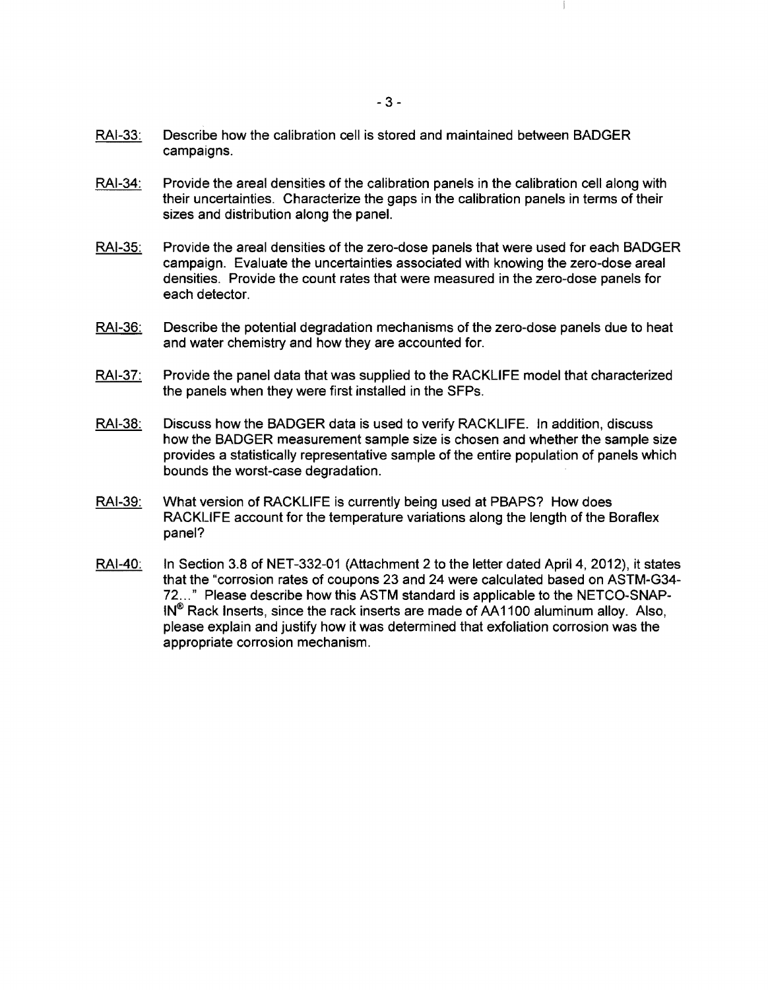- RAI-34: Provide the areal densities of the calibration panels in the calibration cell along with their uncertainties. Characterize the gaps in the calibration panels in terms of their sizes and distribution along the panel.
- RAI-35: Provide the areal densities of the zero-dose panels that were used for each BADGER campaign. Evaluate the uncertainties associated with knowing the zero-dose areal densities. Provide the count rates that were measured in the zero-dose panels for each detector.
- RAI-36: Describe the potential degradation mechanisms of the zero-dose panels due to heat and water chemistry and how they are accounted for.
- RAI-37: Provide the panel data that was supplied to the RACKLIFE model that characterized the panels when they were first installed in the SFPs.
- RAI-38: Discuss how the BADGER data is used to verify RACKLIFE. In addition, discuss how the BADGER measurement sample size is chosen and whether the sample size provides a statistically representative sample of the entire population of panels which bounds the worst-case degradation.
- RAI-39: What version of RACKLIFE is currently being used at PBAPS? How does RACKLIFE account for the temperature variations along the length of the Boraflex panel?
- RAI-40: In Section 3.8 of NET-332-01 (Attachment 2 to the letter dated April 4, 2012), it states that the "corrosion rates of coupons 23 and 24 were calculated based on ASTM-G34 72 ... " Please describe how this ASTM standard is applicable to the NETCO-SNAP-IN® Rack Inserts, since the rack inserts are made of AA1100 aluminum alloy. Also, please explain and justify how it was determined that exfoliation corrosion was the appropriate corrosion mechanism.